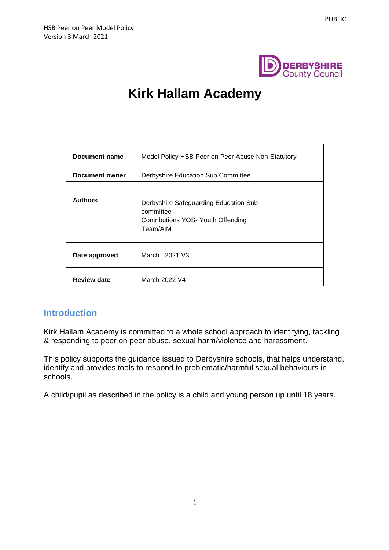

# **Kirk Hallam Academy**

| Document name      | Model Policy HSB Peer on Peer Abuse Non-Statutory                                                     |  |  |  |
|--------------------|-------------------------------------------------------------------------------------------------------|--|--|--|
| Document owner     | Derbyshire Education Sub Committee                                                                    |  |  |  |
| <b>Authors</b>     | Derbyshire Safeguarding Education Sub-<br>committee<br>Contributions YOS- Youth Offending<br>Team/AIM |  |  |  |
| Date approved      | March 2021 V3                                                                                         |  |  |  |
| <b>Review date</b> | March 2022 V4                                                                                         |  |  |  |

#### **Introduction**

Kirk Hallam Academy is committed to a whole school approach to identifying, tackling & responding to peer on peer abuse, sexual harm/violence and harassment.

This policy supports the guidance issued to Derbyshire schools, that helps understand, identify and provides tools to respond to problematic/harmful sexual behaviours in schools.

A child/pupil as described in the policy is a child and young person up until 18 years.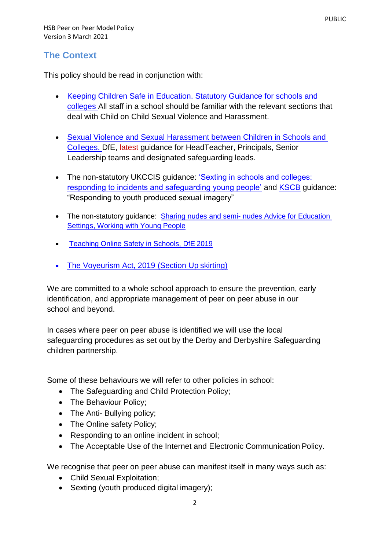## **The Context**

This policy should be read in conjunction with:

- Keeping Children Safe in Education. Statutory Guidance for schools and [colleges A](https://www.gov.uk/government/publications/keeping-children-safe-in-education--2)ll staff in a school should be familiar with the relevant sections that deal with Child on Child Sexual Violence and Harassment.
- [Sexual Violence and Sexual Harassment between Children in Schools and](https://www.gov.uk/government/publications/sexual-violence-and-sexual-harassment-between-children-in-schools-and-colleges)  [Colleges. D](https://www.gov.uk/government/publications/sexual-violence-and-sexual-harassment-between-children-in-schools-and-colleges)fE, latest guidance for HeadTeacher, Principals, Senior Leadership teams and designated safeguarding leads.
- The non-statutory UKCCIS quidance: 'Sexting in schools and colleges: [responding to incidents and safeguarding young people'](https://www.gov.uk/government/groups/uk-council-for-child-internet-safety-ukccis) and [KSCB](http://www.kscb.org.uk/guidance/online-safety) guidance: "Responding to youth produced sexual imagery"
- The non-statutory guidance: Sharing nudes and semi- nudes Advice for Education [Settings, Working with Young People](https://torchacademygatewaytrust-my.sharepoint.com/personal/hduffy_torchacademy_co_uk/documents/CDMProfile/Downloads/•%09https:/www.gov.uk/government/publications/sharing-nudes-and-semi-nudes-advice-for-education-settings-working-with-children-and-young-people)
- [Teaching Online Safety in Schools, DfE](https://www.gov.uk/government/publications/teaching-online-safety-in-schools) 2019
- [The Voyeurism Act, 2019 \(Section](https://www.gov.uk/government/publications/implementation-of-the-voyeurism-offences-act-2019) Up skirting)

We are committed to a whole school approach to ensure the prevention, early identification, and appropriate management of peer on peer abuse in our school and beyond.

In cases where peer on peer abuse is identified we will use the local safeguarding procedures as set out by the Derby and Derbyshire Safeguarding children partnership.

Some of these behaviours we will refer to other policies in school:

- The Safeguarding and Child Protection Policy;
- The Behaviour Policy;
- The Anti- Bullying policy;
- The Online safety Policy;
- Responding to an online incident in school;
- The Acceptable Use of the Internet and Electronic Communication Policy.

We recognise that peer on peer abuse can manifest itself in many ways such as:

- Child Sexual Exploitation;
- Sexting (youth produced digital imagery);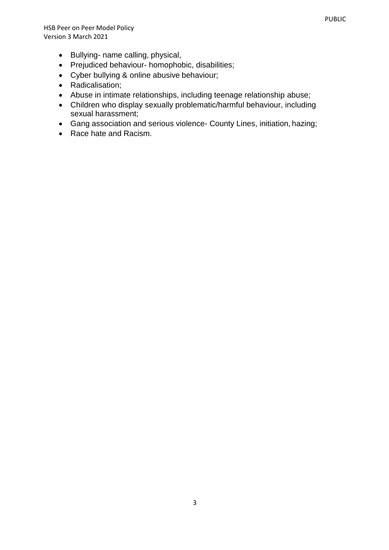- Bullying- name calling, physical,
- Prejudiced behaviour- homophobic, disabilities;
- Cyber bullying & online abusive behaviour;
- Radicalisation:
- Abuse in intimate relationships, including teenage relationship abuse;
- Children who display sexually problematic/harmful behaviour, including sexual harassment;
- Gang association and serious violence- County Lines, initiation, hazing;
- Race hate and Racism.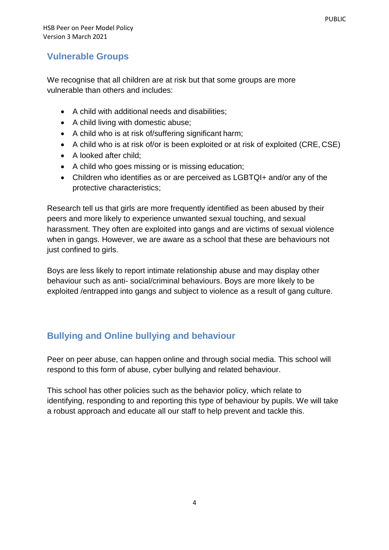## **Vulnerable Groups**

We recognise that all children are at risk but that some groups are more vulnerable than others and includes:

- A child with additional needs and disabilities;
- A child living with domestic abuse;
- A child who is at risk of/suffering significant harm;
- A child who is at risk of/or is been exploited or at risk of exploited (CRE, CSE)
- A looked after child;
- A child who goes missing or is missing education;
- Children who identifies as or are perceived as LGBTQI+ and/or any of the protective characteristics;

Research tell us that girls are more frequently identified as been abused by their peers and more likely to experience unwanted sexual touching, and sexual harassment. They often are exploited into gangs and are victims of sexual violence when in gangs. However, we are aware as a school that these are behaviours not just confined to girls.

Boys are less likely to report intimate relationship abuse and may display other behaviour such as anti- social/criminal behaviours. Boys are more likely to be exploited /entrapped into gangs and subject to violence as a result of gang culture.

## **Bullying and Online bullying and behaviour**

Peer on peer abuse, can happen online and through social media. This school will respond to this form of abuse, cyber bullying and related behaviour.

This school has other policies such as the behavior policy, which relate to identifying, responding to and reporting this type of behaviour by pupils. We will take a robust approach and educate all our staff to help prevent and tackle this.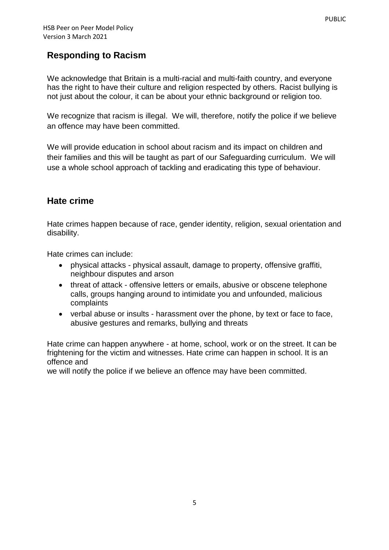## **Responding to Racism**

We acknowledge that Britain is a multi-racial and multi-faith country, and everyone has the right to have their culture and religion respected by others. Racist bullying is not just about the colour, it can be about your ethnic background or religion too.

We recognize that racism is illegal. We will, therefore, notify the police if we believe an offence may have been committed.

We will provide education in school about racism and its impact on children and their families and this will be taught as part of our Safeguarding curriculum. We will use a whole school approach of tackling and eradicating this type of behaviour.

## **Hate crime**

Hate crimes happen because of race, gender identity, religion, sexual orientation and disability.

Hate crimes can include:

- physical attacks physical assault, damage to property, offensive graffiti, neighbour disputes and arson
- threat of attack offensive letters or emails, abusive or obscene telephone calls, groups hanging around to intimidate you and unfounded, malicious complaints
- verbal abuse or insults harassment over the phone, by text or face to face, abusive gestures and remarks, bullying and threats

Hate crime can happen anywhere - at home, school, work or on the street. It can be frightening for the victim and witnesses. Hate crime can happen in school. It is an offence and

we will notify the police if we believe an offence may have been committed.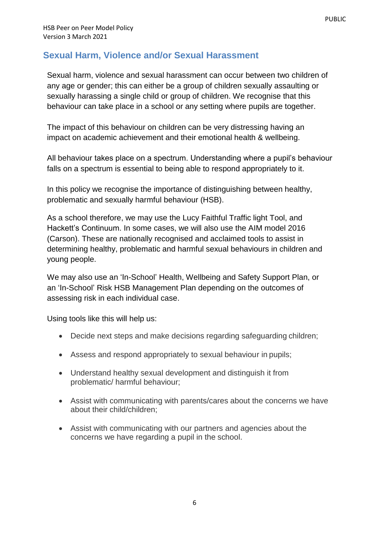## **Sexual Harm, Violence and/or Sexual Harassment**

Sexual harm, violence and sexual harassment can occur between two children of any age or gender; this can either be a group of children sexually assaulting or sexually harassing a single child or group of children. We recognise that this behaviour can take place in a school or any setting where pupils are together.

The impact of this behaviour on children can be very distressing having an impact on academic achievement and their emotional health & wellbeing.

All behaviour takes place on a spectrum. Understanding where a pupil's behaviour falls on a spectrum is essential to being able to respond appropriately to it.

In this policy we recognise the importance of distinguishing between healthy, problematic and sexually harmful behaviour (HSB).

As a school therefore, we may use the Lucy Faithful Traffic light Tool, and Hackett's Continuum. In some cases, we will also use the AIM model 2016 (Carson). These are nationally recognised and acclaimed tools to assist in determining healthy, problematic and harmful sexual behaviours in children and young people.

We may also use an 'In-School' Health, Wellbeing and Safety Support Plan, or an 'In-School' Risk HSB Management Plan depending on the outcomes of assessing risk in each individual case.

Using tools like this will help us:

- Decide next steps and make decisions regarding safeguarding children;
- Assess and respond appropriately to sexual behaviour in pupils;
- Understand healthy sexual development and distinguish it from problematic/ harmful behaviour;
- Assist with communicating with parents/cares about the concerns we have about their child/children;
- Assist with communicating with our partners and agencies about the concerns we have regarding a pupil in the school.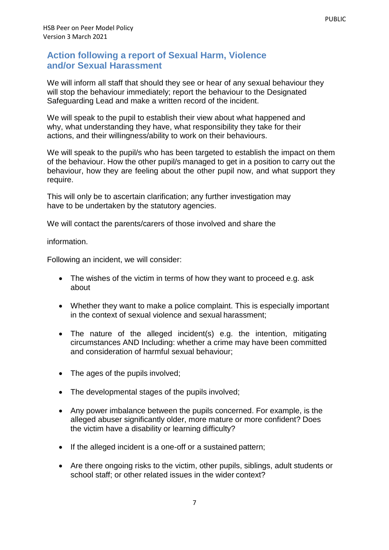## **Action following a report of Sexual Harm, Violence and/or Sexual Harassment**

We will inform all staff that should they see or hear of any sexual behaviour they will stop the behaviour immediately; report the behaviour to the Designated Safeguarding Lead and make a written record of the incident.

We will speak to the pupil to establish their view about what happened and why, what understanding they have, what responsibility they take for their actions, and their willingness/ability to work on their behaviours.

We will speak to the pupil/s who has been targeted to establish the impact on them of the behaviour. How the other pupil/s managed to get in a position to carry out the behaviour, how they are feeling about the other pupil now, and what support they require.

This will only be to ascertain clarification; any further investigation may have to be undertaken by the statutory agencies.

We will contact the parents/carers of those involved and share the

information.

Following an incident, we will consider:

- The wishes of the victim in terms of how they want to proceed e.g. ask about
- Whether they want to make a police complaint. This is especially important in the context of sexual violence and sexual harassment;
- The nature of the alleged incident(s) e.g. the intention, mitigating circumstances AND Including: whether a crime may have been committed and consideration of harmful sexual behaviour;
- The ages of the pupils involved;
- The developmental stages of the pupils involved;
- Any power imbalance between the pupils concerned. For example, is the alleged abuser significantly older, more mature or more confident? Does the victim have a disability or learning difficulty?
- If the alleged incident is a one-off or a sustained pattern;
- Are there ongoing risks to the victim, other pupils, siblings, adult students or school staff; or other related issues in the wider context?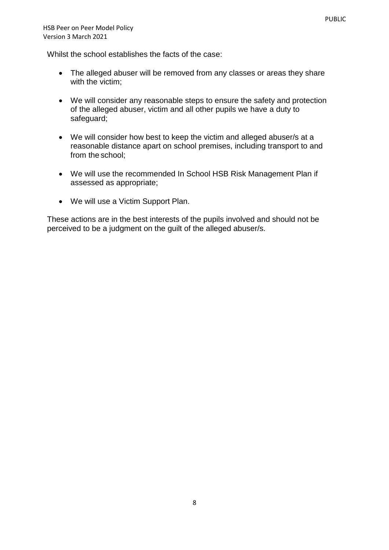Whilst the school establishes the facts of the case:

- The alleged abuser will be removed from any classes or areas they share with the victim;
- We will consider any reasonable steps to ensure the safety and protection of the alleged abuser, victim and all other pupils we have a duty to safeguard;
- We will consider how best to keep the victim and alleged abuser/s at a reasonable distance apart on school premises, including transport to and from the school;
- We will use the recommended In School HSB Risk Management Plan if assessed as appropriate;
- We will use a Victim Support Plan.

These actions are in the best interests of the pupils involved and should not be perceived to be a judgment on the guilt of the alleged abuser/s.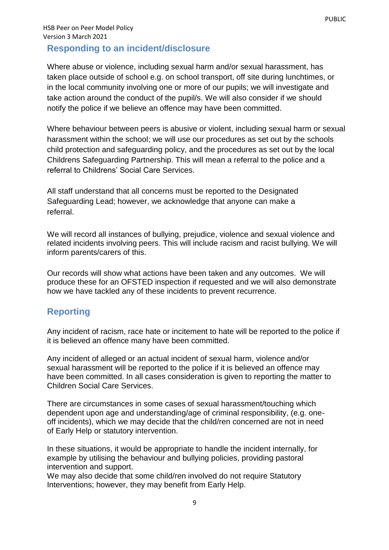## HSB Peer on Peer Model Policy Version 3 March 2021

## **Responding to an incident/disclosure**

Where abuse or violence, including sexual harm and/or sexual harassment, has taken place outside of school e.g. on school transport, off site during lunchtimes, or in the local community involving one or more of our pupils; we will investigate and take action around the conduct of the pupil/s. We will also consider if we should notify the police if we believe an offence may have been committed.

Where behaviour between peers is abusive or violent, including sexual harm or sexual harassment within the school; we will use our procedures as set out by the schools child protection and safeguarding policy, and the procedures as set out by the local Childrens Safeguarding Partnership. This will mean a referral to the police and a referral to Childrens' Social Care Services.

All staff understand that all concerns must be reported to the Designated Safeguarding Lead; however, we acknowledge that anyone can make a referral.

We will record all instances of bullying, prejudice, violence and sexual violence and related incidents involving peers. This will include racism and racist bullying. We will inform parents/carers of this.

Our records will show what actions have been taken and any outcomes. We will produce these for an OFSTED inspection if requested and we will also demonstrate how we have tackled any of these incidents to prevent recurrence.

## **Reporting**

Any incident of racism, race hate or incitement to hate will be reported to the police if it is believed an offence many have been committed.

Any incident of alleged or an actual incident of sexual harm, violence and/or sexual harassment will be reported to the police if it is believed an offence may have been committed. In all cases consideration is given to reporting the matter to Children Social Care Services.

There are circumstances in some cases of sexual harassment/touching which dependent upon age and understanding/age of criminal responsibility, (e.g. oneoff incidents), which we may decide that the child/ren concerned are not in need of Early Help or statutory intervention.

In these situations, it would be appropriate to handle the incident internally, for example by utilising the behaviour and bullying policies, providing pastoral intervention and support.

We may also decide that some child/ren involved do not require Statutory Interventions; however, they may benefit from Early Help.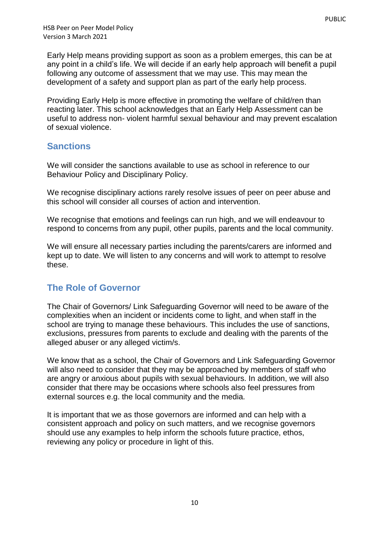Early Help means providing support as soon as a problem emerges, this can be at any point in a child's life. We will decide if an early help approach will benefit a pupil following any outcome of assessment that we may use. This may mean the development of a safety and support plan as part of the early help process.

Providing Early Help is more effective in promoting the welfare of child/ren than reacting later. This school acknowledges that an Early Help Assessment can be useful to address non- violent harmful sexual behaviour and may prevent escalation of sexual violence.

## **Sanctions**

We will consider the sanctions available to use as school in reference to our Behaviour Policy and Disciplinary Policy.

We recognise disciplinary actions rarely resolve issues of peer on peer abuse and this school will consider all courses of action and intervention.

We recognise that emotions and feelings can run high, and we will endeavour to respond to concerns from any pupil, other pupils, parents and the local community.

We will ensure all necessary parties including the parents/carers are informed and kept up to date. We will listen to any concerns and will work to attempt to resolve these.

## **The Role of Governor**

The Chair of Governors/ Link Safeguarding Governor will need to be aware of the complexities when an incident or incidents come to light, and when staff in the school are trying to manage these behaviours. This includes the use of sanctions, exclusions, pressures from parents to exclude and dealing with the parents of the alleged abuser or any alleged victim/s.

We know that as a school, the Chair of Governors and Link Safeguarding Governor will also need to consider that they may be approached by members of staff who are angry or anxious about pupils with sexual behaviours. In addition, we will also consider that there may be occasions where schools also feel pressures from external sources e.g. the local community and the media.

It is important that we as those governors are informed and can help with a consistent approach and policy on such matters, and we recognise governors should use any examples to help inform the schools future practice, ethos, reviewing any policy or procedure in light of this.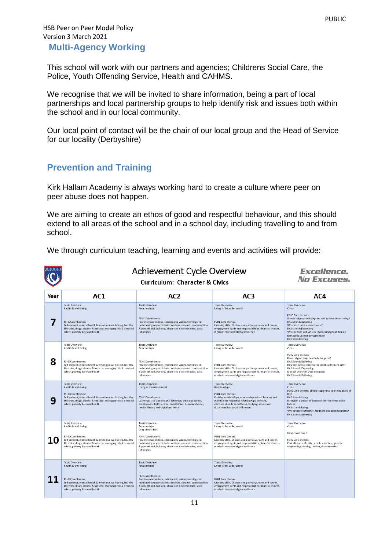#### HSB Peer on Peer Model Policy Version 3 March 2021 **Multi-Agency Working**

This school will work with our partners and agencies; Childrens Social Care, the Police, Youth Offending Service, Health and CAHMS.

We recognise that we will be invited to share information, being a part of local partnerships and local partnership groups to help identify risk and issues both within the school and in our local community.

Our local point of contact will be the chair of our local group and the Head of Service for our locality (Derbyshire)

## **Prevention and Training**

Kirk Hallam Academy is always working hard to create a culture where peer on peer abuse does not happen.

We are aiming to create an ethos of good and respectful behaviour, and this should extend to all areas of the school and in a school day, including travelling to and from school.

We through curriculum teaching, learning and events and activities will provide:

|      | <b>Achievement Cycle Overview</b>                                                                                                                                                                                                      | <i><b>Excellence.</b></i><br>No Excuses.                                                                                                                                                                                                                                              |                                                                                                                                                                                                                                                             |                                                                                                                                                                                                                                                                                                                                |  |
|------|----------------------------------------------------------------------------------------------------------------------------------------------------------------------------------------------------------------------------------------|---------------------------------------------------------------------------------------------------------------------------------------------------------------------------------------------------------------------------------------------------------------------------------------|-------------------------------------------------------------------------------------------------------------------------------------------------------------------------------------------------------------------------------------------------------------|--------------------------------------------------------------------------------------------------------------------------------------------------------------------------------------------------------------------------------------------------------------------------------------------------------------------------------|--|
| Year | AC1                                                                                                                                                                                                                                    | AC <sub>2</sub>                                                                                                                                                                                                                                                                       | AC <sub>3</sub>                                                                                                                                                                                                                                             | AC4                                                                                                                                                                                                                                                                                                                            |  |
|      | Topic Overview:<br>Health & well-being<br><b>PSHE Core themes:</b><br>Self-concept, mental health & emotional well-being, healthy<br>lifestyles, drugs, alcohol & tobacco, managing risk & personal<br>safety, puberty & sexual health | Topic Overview:<br>Relationships<br><b>PSHE Core themes:</b><br>Positive relationships, relationship values, forming and<br>maintaining respectful relationships, consent, contraception<br>& parenthood, bullying, abuse and discrimination, social<br>influences                    | Topic Overview:<br>Living in the wider world<br><b>PSHE Core themes:</b><br>Learning skills. Choices and pathways, work and career,<br>employment tights and responsibilities, financial choices,<br>media literacy and digital resilience                  | Topic Overview:<br><b>Civics</b><br>PSHE Core themes:<br>Should religious buildings be sold to feed the starving?<br><b>DAS Strand: Believing</b><br>What is so radical about Jesus?<br>DAS strand: Expressing<br>What is good and what is challenging about being a<br>teenage Muslim in Britain today?<br>DAS Strand: Living |  |
| 8    | Topic Overview:<br>Health & well-being<br><b>PSHE Core themes:</b><br>Self-concept, mental health & emotional well-being, healthy<br>lifestyles, drugs, alcohol & tobacco, managing risk & personal<br>safety, puberty & sexual health | Topic Overview:<br>Relationships<br><b>PSHE Core themes:</b><br>Positive relationships, relationship values, forming and<br>maintaining respectful relationships, consent, contraception<br>& parenthood, bullying, abuse and discrimination, social<br>influences                    | Topic Overview:<br>Living in the wider world<br>PSHE Core themes:<br>Learning skills. Choices and pathways, work and career,<br>employment tights and responsibilities, financial choices,<br>media literacy and digital resilience                         | Topic Overview:<br>Civics<br>PSHE Core themes:<br>Does religion help people to be good?<br>DAS Strand: Believing<br>How can people express the spiritual through arts?<br>DAS Strand: Expressing<br>Is death the end? Does it matter?<br><b>DAS Strand: Believing</b>                                                          |  |
|      | Topic Overview:<br>Health & well-being<br><b>PSHE Core themes:</b><br>Self-concept, mental health & emotional well-being, healthy<br>lifestyles, drugs, alcohol & tobacco, managing risk & personal<br>safety, puberty & sexual health | Topic Overview:<br>Living in the wider world<br><b>PSHE Core themes:</b><br>Learning skills. Choices and pathways, work and career,<br>employment tights and responsibilities, financial choices,<br>media literacy and digital resilience                                            | Topic Overview:<br>Relationships<br>PSHE Core themes:<br>Positive relationships, relationship values, forming and<br>maintaining respectful relationships, consent,<br>contraception & parenthood, bullying, abuse and<br>discrimination, social influences | Topic Overview:<br>Civics<br>PSHE Core themes: Should happiness be the purpose of<br>life?<br>DAS Strand: Living<br>Is religion a power of peace or conflict in the world<br>today?<br>DAS strand: Living<br>Why is there suffering? Are there any good solutions?<br>DAS Strand: Believing                                    |  |
|      | Topic Overview:<br>Health & well-being<br><b>PSHE Core themes:</b><br>Self-concept, mental health & emotional well-being, healthy<br>lifestyles, drugs, alcohol & tobacco, managing risk & personal<br>safety, puberty & sexual health | Topic Overview:<br>Relationships<br>Drop-down day 1<br><b>PSHE Core themes:</b><br>Positive relationships, relationship values, forming and<br>maintaining respectful relationships, consent, contraception<br>& parenthood, bullying, abuse and discrimination, social<br>influences | Topic Overview:<br>Living in the wider world<br>PSHE Core themes:<br>Learning skills. Choices and pathways, work and career,<br>employment tights and responsibilities, financial choices,<br>media literacy and digital resilience                         | Topic Overview:<br>Civics<br>Drop-down day 2<br>PSHE Care themes:<br>Ethical issues: life after death, abortion, genetic<br>engineering, cloning, racism, discrimination                                                                                                                                                       |  |
|      | Topic Overview:<br>Health & well-being<br><b>PSHE Core themes:</b><br>Self-concept, mental health & emotional well-being, healthy<br>lifestyles, drugs, alcohol & tobacco, managing risk & personal<br>safety, puberty & sexual health | Topic Overview:<br>Relationships<br><b>PSHE Core themes:</b><br>Positive relationships, relationship values, forming and<br>maintaining respectful relationships, consent, contraception<br>& parenthood, bullying, abuse and discrimination, social<br><i>influences</i>             | Topic Overview:<br>Living in the wider world<br><b>PSHE Core themes:</b><br>Learning skills. Choices and pathways, work and career,<br>employment tights and responsibilities, financial choices,<br>media literacy and digital resilience                  |                                                                                                                                                                                                                                                                                                                                |  |
| 11   |                                                                                                                                                                                                                                        |                                                                                                                                                                                                                                                                                       |                                                                                                                                                                                                                                                             |                                                                                                                                                                                                                                                                                                                                |  |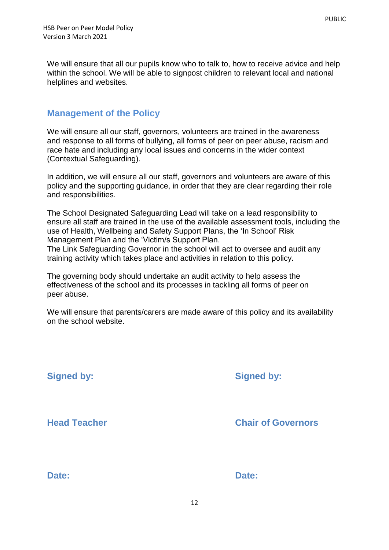We will ensure that all our pupils know who to talk to, how to receive advice and help within the school. We will be able to signpost children to relevant local and national helplines and websites.

## **Management of the Policy**

We will ensure all our staff, governors, volunteers are trained in the awareness and response to all forms of bullying, all forms of peer on peer abuse, racism and race hate and including any local issues and concerns in the wider context (Contextual Safeguarding).

In addition, we will ensure all our staff, governors and volunteers are aware of this policy and the supporting guidance, in order that they are clear regarding their role and responsibilities.

The School Designated Safeguarding Lead will take on a lead responsibility to ensure all staff are trained in the use of the available assessment tools, including the use of Health, Wellbeing and Safety Support Plans, the 'In School' Risk Management Plan and the 'Victim/s Support Plan.

The Link Safeguarding Governor in the school will act to oversee and audit any training activity which takes place and activities in relation to this policy.

The governing body should undertake an audit activity to help assess the effectiveness of the school and its processes in tackling all forms of peer on peer abuse.

We will ensure that parents/carers are made aware of this policy and its availability on the school website.

**Signed by: Signed by: Head Teacher Chair of Governors Date: Date:**